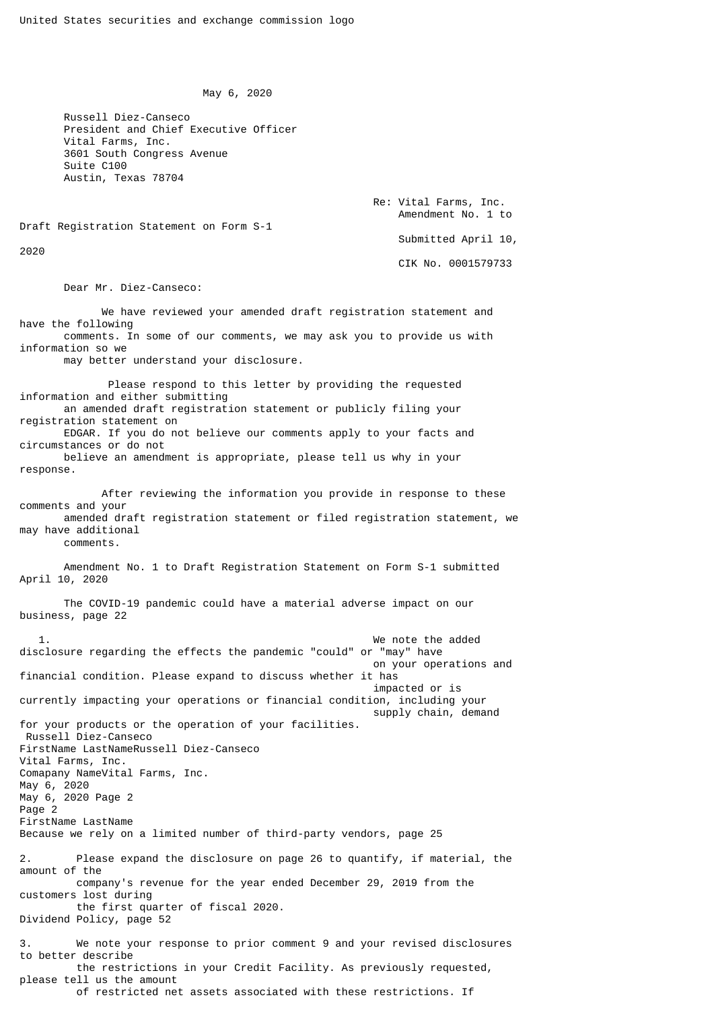May 6, 2020

 Russell Diez-Canseco President and Chief Executive Officer Vital Farms, Inc. 3601 South Congress Avenue Suite C100 Austin, Texas 78704

> Re: Vital Farms, Inc. Amendment No. 1 to

Draft Registration Statement on Form S-1

2020

Submitted April 10,

CIK No. 0001579733

Dear Mr. Diez-Canseco:

 We have reviewed your amended draft registration statement and have the following comments. In some of our comments, we may ask you to provide us with information so we

may better understand your disclosure.

 Please respond to this letter by providing the requested information and either submitting an amended draft registration statement or publicly filing your registration statement on EDGAR. If you do not believe our comments apply to your facts and circumstances or do not believe an amendment is appropriate, please tell us why in your response.

 After reviewing the information you provide in response to these comments and your amended draft registration statement or filed registration statement, we may have additional comments.

 Amendment No. 1 to Draft Registration Statement on Form S-1 submitted April 10, 2020

 The COVID-19 pandemic could have a material adverse impact on our business, page 22

We note the added disclosure regarding the effects the pandemic "could" or "may" have on your operations and financial condition. Please expand to discuss whether it has impacted or is currently impacting your operations or financial condition, including your supply chain, demand for your products or the operation of your facilities. Russell Diez-Canseco FirstName LastNameRussell Diez-Canseco Vital Farms, Inc. Comapany NameVital Farms, Inc. May 6, 2020 May 6, 2020 Page 2 Page 2 FirstName LastName Because we rely on a limited number of third-party vendors, page 25 2. Please expand the disclosure on page 26 to quantify, if material, the amount of the company's revenue for the year ended December 29, 2019 from the customers lost during the first quarter of fiscal 2020. Dividend Policy, page 52 3. We note your response to prior comment 9 and your revised disclosures to better describe the restrictions in your Credit Facility. As previously requested, please tell us the amount of restricted net assets associated with these restrictions. If